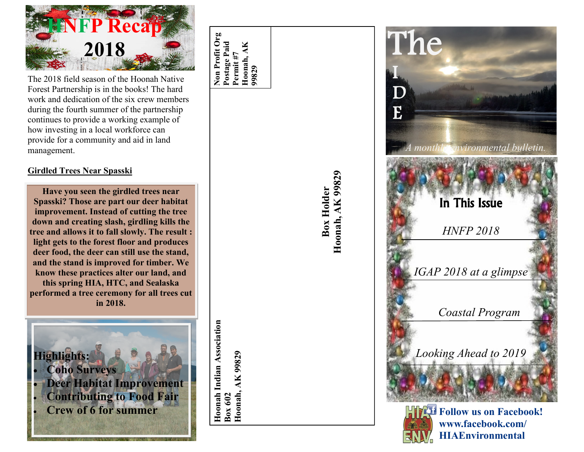

The 2018 field season of the Hoonah Native Forest Partnership is in the books! The hard work and dedication of the six crew members during the fourth summer of the partnership continues to provide a working example of how investing in a local workforce can provide for a community and aid in land management.

#### **Girdled Trees Near Spasski**

**Have you seen the girdled trees near Spasski? Those are part our deer habitat improvement. Instead of cutting the tree down and creating slash, girdling kills the tree and allows it to fall slowly. The result : light gets to the forest floor and produces deer food, the deer can still use the stand, and the stand is improved for timber. We know these practices alter our land, and this spring HIA, HTC, and Sealaska performed a tree ceremony for all trees cut in 2018.** 



**Non Profit Org Postage Paid Permit #7 99829 Hoonah, AK** 

**Hoonah Indian Association**

Hoonah Indian Association

Box 602<br>Hoonah, AK 99829 **Hoonah, AK 99829** Box Holder<br>Hoonah, AK 99829 **Hoonah, AK 99829**





**www.facebook.com/ HIAEnvironmental**